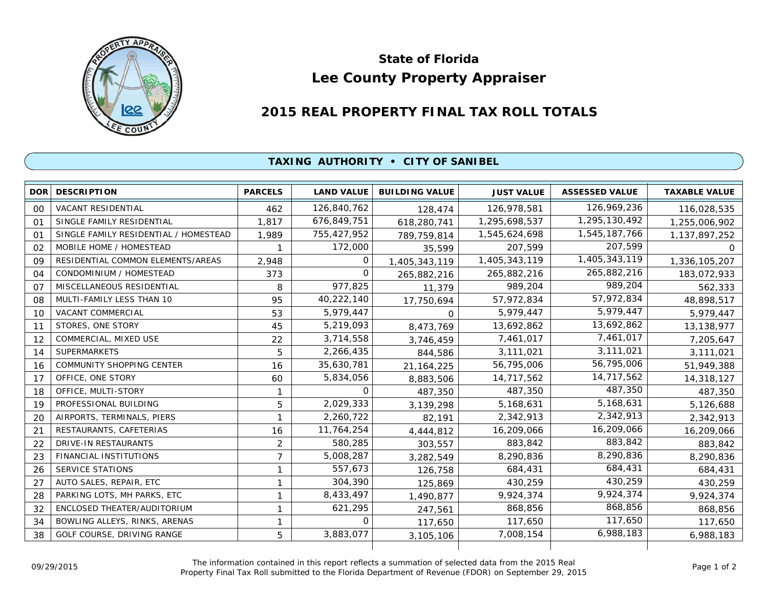

## **Lee County Property Appraiser State of Florida**

## **2015 REAL PROPERTY FINAL TAX ROLL TOTALS**

## **TAXING AUTHORITY • CITY OF SANIBEL**

| <b>DOR</b> | <b>DESCRIPTION</b>                    | <b>PARCELS</b> | <b>LAND VALUE</b> | <b>BUILDING VALUE</b> | <b>JUST VALUE</b> | <b>ASSESSED VALUE</b> | <b>TAXABLE VALUE</b> |
|------------|---------------------------------------|----------------|-------------------|-----------------------|-------------------|-----------------------|----------------------|
| 00         | <b>VACANT RESIDENTIAL</b>             | 462            | 126,840,762       | 128,474               | 126,978,581       | 126,969,236           | 116,028,535          |
| 01         | SINGLE FAMILY RESIDENTIAL             | 1,817          | 676,849,751       | 618,280,741           | 1,295,698,537     | 1,295,130,492         | 1,255,006,902        |
| $\Omega$ 1 | SINGLE FAMILY RESIDENTIAL / HOMESTEAD | 1,989          | 755,427,952       | 789,759,814           | 1,545,624,698     | 1,545,187,766         | 1, 137, 897, 252     |
| 02         | MOBILE HOME / HOMESTEAD               |                | 172,000           | 35,599                | 207,599           | 207,599               | 0                    |
| 09         | RESIDENTIAL COMMON ELEMENTS/AREAS     | 2,948          | $\Omega$          | 1,405,343,119         | 1,405,343,119     | 1,405,343,119         | 1,336,105,207        |
| 04         | CONDOMINIUM / HOMESTEAD               | 373            | $\Omega$          | 265,882,216           | 265,882,216       | 265,882,216           | 183,072,933          |
| 07         | MISCELLANEOUS RESIDENTIAL             | 8              | 977,825           | 11,379                | 989,204           | 989,204               | 562,333              |
| 08         | MULTI-FAMILY LESS THAN 10             | 95             | 40,222,140        | 17,750,694            | 57.972.834        | 57,972,834            | 48,898,517           |
| 10         | <b>VACANT COMMERCIAL</b>              | 53             | 5,979,447         | 0                     | 5,979,447         | 5,979,447             | 5,979,447            |
| 11         | STORES, ONE STORY                     | 45             | 5,219,093         | 8,473,769             | 13,692,862        | 13,692,862            | 13,138,977           |
| 12         | COMMERCIAL, MIXED USE                 | 22             | 3,714,558         | 3,746,459             | 7,461,017         | 7,461,017             | 7,205,647            |
| 14         | <b>SUPERMARKETS</b>                   | 5              | 2,266,435         | 844,586               | 3,111,021         | 3,111,021             | 3,111,021            |
| 16         | COMMUNITY SHOPPING CENTER             | 16             | 35,630,781        | 21, 164, 225          | 56,795,006        | 56,795,006            | 51,949,388           |
| 17         | OFFICE, ONE STORY                     | 60             | 5,834,056         | 8,883,506             | 14,717,562        | 14,717,562            | 14,318,127           |
| 18         | OFFICE, MULTI-STORY                   | 1              | 0                 | 487,350               | 487,350           | 487,350               | 487,350              |
| 19         | PROFESSIONAL BUILDING                 | 5              | 2,029,333         | 3,139,298             | 5,168,631         | 5,168,631             | 5,126,688            |
| 20         | AIRPORTS, TERMINALS, PIERS            | 1              | 2,260,722         | 82,191                | 2,342,913         | 2,342,913             | 2,342,913            |
| 21         | RESTAURANTS, CAFETERIAS               | 16             | 11,764,254        | 4,444,812             | 16,209,066        | 16,209,066            | 16,209,066           |
| 22         | DRIVE-IN RESTAURANTS                  | 2              | 580,285           | 303,557               | 883,842           | 883,842               | 883,842              |
| 23         | <b>FINANCIAL INSTITUTIONS</b>         | $\overline{7}$ | 5,008,287         | 3,282,549             | 8,290,836         | 8,290,836             | 8,290,836            |
| 26         | SERVICE STATIONS                      | 1              | 557,673           | 126,758               | 684,431           | 684,431               | 684,431              |
| 27         | AUTO SALES, REPAIR, ETC               | 1              | 304,390           | 125,869               | 430,259           | 430,259               | 430,259              |
| 28         | PARKING LOTS, MH PARKS, ETC           | 1              | 8,433,497         | 1,490,877             | 9,924,374         | 9,924,374             | 9,924,374            |
| 32         | ENCLOSED THEATER/AUDITORIUM           | 1              | 621,295           | 247,561               | 868,856           | 868,856               | 868,856              |
| 34         | BOWLING ALLEYS, RINKS, ARENAS         | 1              | 0                 | 117,650               | 117,650           | 117,650               | 117,650              |
| 38         | GOLF COURSE, DRIVING RANGE            | 5              | 3,883,077         | 3,105,106             | 7,008,154         | 6,988,183             | 6,988,183            |
|            |                                       |                |                   |                       |                   |                       |                      |

The information contained in this report reflects a summation of selected data from the 2015 Real Ine information contained in this report reflects a summation of selected data from the 2015 Real<br>Property Final Tax Roll submitted to the Florida Department of Revenue (FDOR) on September 29, 2015